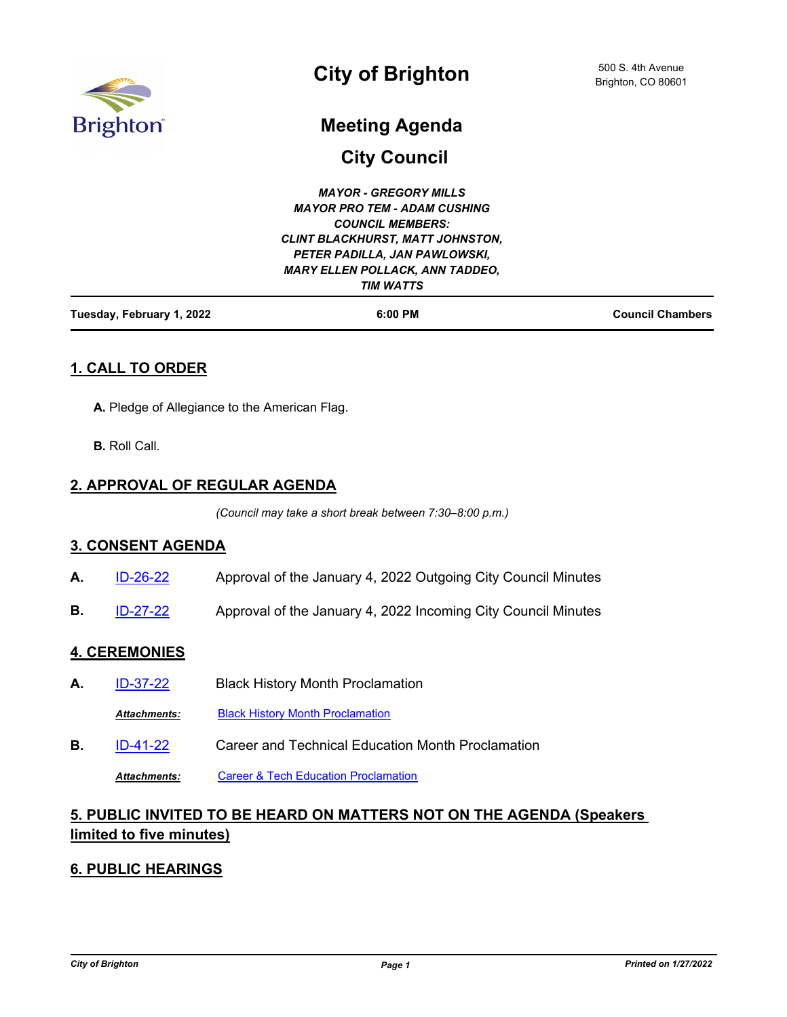

# **City of Brighton**

# **Meeting Agenda**

**City Council**

| Tuesday, February 1, 2022 | $6:00$ PM                               | <b>Council Chambers</b> |
|---------------------------|-----------------------------------------|-------------------------|
|                           | <b>TIM WATTS</b>                        |                         |
|                           | <b>MARY ELLEN POLLACK, ANN TADDEO,</b>  |                         |
|                           | PETER PADILLA, JAN PAWLOWSKI,           |                         |
|                           | <b>CLINT BLACKHURST, MATT JOHNSTON,</b> |                         |
|                           | <b>COUNCIL MEMBERS:</b>                 |                         |
|                           | <b>MAYOR PRO TEM - ADAM CUSHING</b>     |                         |
|                           | <b>MAYOR - GREGORY MILLS</b>            |                         |
|                           |                                         |                         |

## **1. CALL TO ORDER**

- **A.** Pledge of Allegiance to the American Flag.
- **B.** Roll Call.

## **2. APPROVAL OF REGULAR AGENDA**

*(Council may take a short break between 7:30–8:00 p.m.)*

#### **3. CONSENT AGENDA**

- **A.** [ID-26-22](http://brightonco.legistar.com/gateway.aspx?m=l&id=/matter.aspx?key=4665) Approval of the January 4, 2022 Outgoing City Council Minutes
- **B.** [ID-27-22](http://brightonco.legistar.com/gateway.aspx?m=l&id=/matter.aspx?key=4666) Approval of the January 4, 2022 Incoming City Council Minutes

#### **4. CEREMONIES**

- **A.** [ID-37-22](http://brightonco.legistar.com/gateway.aspx?m=l&id=/matter.aspx?key=4676) Black History Month Proclamation
	- *Attachments:* [Black History Month Proclamation](http://brightonco.legistar.com/gateway.aspx?M=F&ID=8face501-ad16-461b-91f5-6a8dcca1524c.pdf)
- **B.** [ID-41-22](http://brightonco.legistar.com/gateway.aspx?m=l&id=/matter.aspx?key=4680) Career and Technical Education Month Proclamation

*Attachments:* [Career & Tech Education Proclamation](http://brightonco.legistar.com/gateway.aspx?M=F&ID=3698fa35-99aa-4621-895f-cce14632a3e4.pdf)

# **5. PUBLIC INVITED TO BE HEARD ON MATTERS NOT ON THE AGENDA (Speakers limited to five minutes)**

## **6. PUBLIC HEARINGS**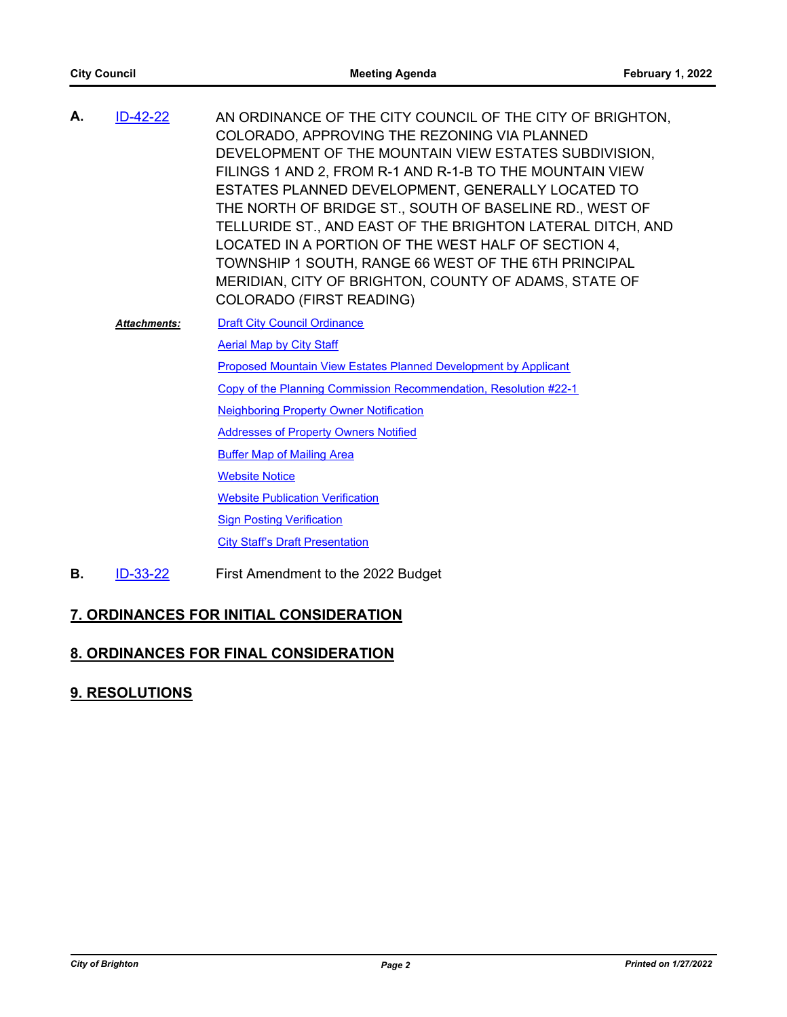| А. | ID-42-22            | AN ORDINANCE OF THE CITY COUNCIL OF THE CITY OF BRIGHTON,<br>COLORADO, APPROVING THE REZONING VIA PLANNED<br>DEVELOPMENT OF THE MOUNTAIN VIEW ESTATES SUBDIVISION,<br>FILINGS 1 AND 2, FROM R-1 AND R-1-B TO THE MOUNTAIN VIEW<br>ESTATES PLANNED DEVELOPMENT, GENERALLY LOCATED TO<br>THE NORTH OF BRIDGE ST., SOUTH OF BASELINE RD., WEST OF<br>TELLURIDE ST., AND EAST OF THE BRIGHTON LATERAL DITCH, AND<br>LOCATED IN A PORTION OF THE WEST HALF OF SECTION 4,<br>TOWNSHIP 1 SOUTH, RANGE 66 WEST OF THE 6TH PRINCIPAL<br>MERIDIAN, CITY OF BRIGHTON, COUNTY OF ADAMS, STATE OF<br>COLORADO (FIRST READING) |
|----|---------------------|------------------------------------------------------------------------------------------------------------------------------------------------------------------------------------------------------------------------------------------------------------------------------------------------------------------------------------------------------------------------------------------------------------------------------------------------------------------------------------------------------------------------------------------------------------------------------------------------------------------|
|    | <b>Attachments:</b> | <b>Draft City Council Ordinance</b>                                                                                                                                                                                                                                                                                                                                                                                                                                                                                                                                                                              |
|    |                     | <b>Aerial Map by City Staff</b>                                                                                                                                                                                                                                                                                                                                                                                                                                                                                                                                                                                  |
|    |                     | Proposed Mountain View Estates Planned Development by Applicant                                                                                                                                                                                                                                                                                                                                                                                                                                                                                                                                                  |
|    |                     | Copy of the Planning Commission Recommendation, Resolution #22-1                                                                                                                                                                                                                                                                                                                                                                                                                                                                                                                                                 |
|    |                     | <b>Neighboring Property Owner Notification</b>                                                                                                                                                                                                                                                                                                                                                                                                                                                                                                                                                                   |
|    |                     | <b>Addresses of Property Owners Notified</b>                                                                                                                                                                                                                                                                                                                                                                                                                                                                                                                                                                     |
|    |                     | <b>Buffer Map of Mailing Area</b>                                                                                                                                                                                                                                                                                                                                                                                                                                                                                                                                                                                |
|    |                     | <b>Website Notice</b>                                                                                                                                                                                                                                                                                                                                                                                                                                                                                                                                                                                            |
|    |                     | <b>Website Publication Verification</b>                                                                                                                                                                                                                                                                                                                                                                                                                                                                                                                                                                          |
|    |                     | <b>Sign Posting Verification</b>                                                                                                                                                                                                                                                                                                                                                                                                                                                                                                                                                                                 |
|    |                     | <b>City Staff's Draft Presentation</b>                                                                                                                                                                                                                                                                                                                                                                                                                                                                                                                                                                           |
|    |                     |                                                                                                                                                                                                                                                                                                                                                                                                                                                                                                                                                                                                                  |

**B.** [ID-33-22](http://brightonco.legistar.com/gateway.aspx?m=l&id=/matter.aspx?key=4672) First Amendment to the 2022 Budget

# **7. ORDINANCES FOR INITIAL CONSIDERATION**

# **8. ORDINANCES FOR FINAL CONSIDERATION**

# **9. RESOLUTIONS**